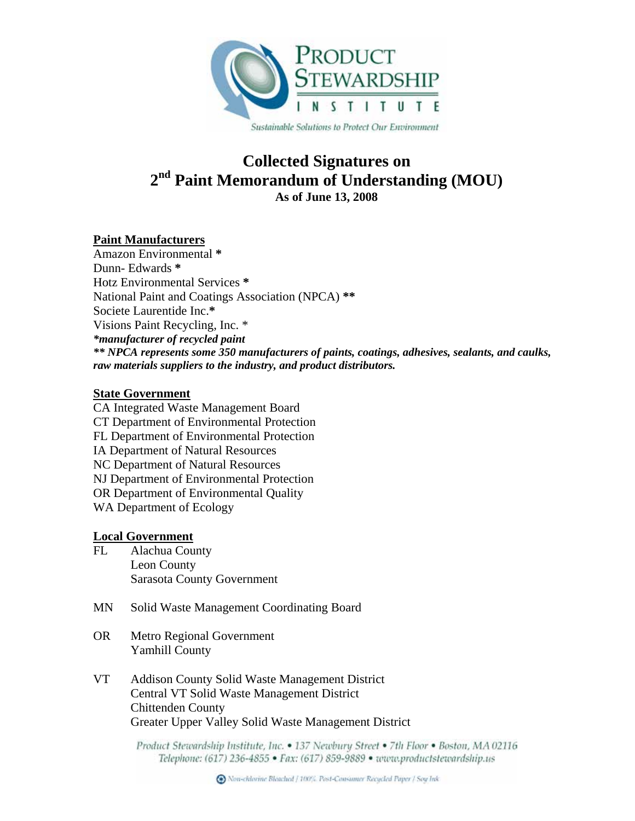

# **Collected Signatures on 2nd Paint Memorandum of Understanding (MOU) As of June 13, 2008**

# **Paint Manufacturers**

Amazon Environmental **\*** Dunn- Edwards **\*** Hotz Environmental Services **\*** National Paint and Coatings Association (NPCA) **\*\*** Societe Laurentide Inc.**\*** Visions Paint Recycling, Inc. \* *\*manufacturer of recycled paint \*\* NPCA represents some 350 manufacturers of paints, coatings, adhesives, sealants, and caulks, raw materials suppliers to the industry, and product distributors.*

### **State Government**

CA Integrated Waste Management Board CT Department of Environmental Protection FL Department of Environmental Protection IA Department of Natural Resources NC Department of Natural Resources NJ Department of Environmental Protection OR Department of Environmental Quality WA Department of Ecology

# **Local Government**

- FL Alachua County Leon County Sarasota County Government
- MN Solid Waste Management Coordinating Board
- OR Metro Regional Government Yamhill County
- VT Addison County Solid Waste Management District Central VT Solid Waste Management District Chittenden County Greater Upper Valley Solid Waste Management District

Product Stewardship Institute, Inc. • 137 Newbury Street • 7th Floor • Boston, MA 02116 Telephone: (617) 236-4855 · Fax: (617) 859-9889 · www.productstewardship.us